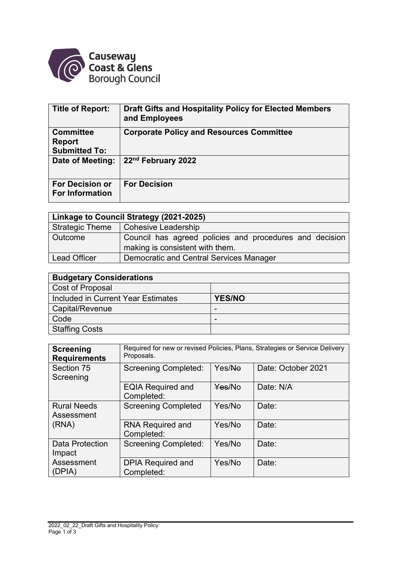

| <b>Title of Report:</b>                                   | Draft Gifts and Hospitality Policy for Elected Members<br>and Employees |
|-----------------------------------------------------------|-------------------------------------------------------------------------|
| <b>Committee</b><br><b>Report</b><br><b>Submitted To:</b> | <b>Corporate Policy and Resources Committee</b>                         |
| Date of Meeting:                                          | 22 <sup>nd</sup> February 2022                                          |
| <b>For Decision or</b><br><b>For Information</b>          | <b>For Decision</b>                                                     |

| Linkage to Council Strategy (2021-2025) |                                                         |  |  |  |
|-----------------------------------------|---------------------------------------------------------|--|--|--|
|                                         | Strategic Theme   Cohesive Leadership                   |  |  |  |
| Outcome                                 | Council has agreed policies and procedures and decision |  |  |  |
|                                         | making is consistent with them.                         |  |  |  |
| <b>Lead Officer</b>                     | Democratic and Central Services Manager                 |  |  |  |

| <b>Budgetary Considerations</b>    |               |  |  |  |
|------------------------------------|---------------|--|--|--|
| Cost of Proposal                   |               |  |  |  |
| Included in Current Year Estimates | <b>YES/NO</b> |  |  |  |
| <b>Capital/Revenue</b>             | -             |  |  |  |
| Code                               | -             |  |  |  |
| Staffing Costs                     |               |  |  |  |

| <b>Screening</b><br><b>Requirements</b>   | Required for new or revised Policies, Plans, Strategies or Service Delivery<br>Proposals. |        |                    |  |
|-------------------------------------------|-------------------------------------------------------------------------------------------|--------|--------------------|--|
| Section 75<br>Screening                   | <b>Screening Completed:</b>                                                               | Yes/No | Date: October 2021 |  |
|                                           | <b>EQIA Required and</b><br>Completed:                                                    | Yes/No | Date: N/A          |  |
| <b>Rural Needs</b><br>Assessment<br>(RNA) | <b>Screening Completed</b>                                                                | Yes/No | Date:              |  |
|                                           | <b>RNA Required and</b><br>Completed:                                                     | Yes/No | Date:              |  |
| <b>Data Protection</b><br>Impact          | <b>Screening Completed:</b>                                                               | Yes/No | Date:              |  |
| Assessment<br>(DPIA)                      | <b>DPIA Required and</b><br>Completed:                                                    | Yes/No | Date:              |  |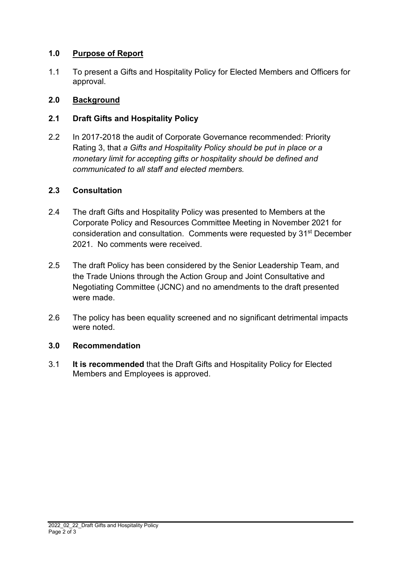#### **1.0 Purpose of Report**

1.1 To present a Gifts and Hospitality Policy for Elected Members and Officers for approval.

#### **2.0 Background**

#### **2.1 Draft Gifts and Hospitality Policy**

2.2 In 2017-2018 the audit of Corporate Governance recommended: Priority Rating 3, that *a Gifts and Hospitality Policy should be put in place or a monetary limit for accepting gifts or hospitality should be defined and communicated to all staff and elected members.*

#### **2.3 Consultation**

- 2.4 The draft Gifts and Hospitality Policy was presented to Members at the Corporate Policy and Resources Committee Meeting in November 2021 for consideration and consultation. Comments were requested by 31st December 2021. No comments were received.
- 2.5 The draft Policy has been considered by the Senior Leadership Team, and the Trade Unions through the Action Group and Joint Consultative and Negotiating Committee (JCNC) and no amendments to the draft presented were made.
- 2.6 The policy has been equality screened and no significant detrimental impacts were noted.

#### **3.0 Recommendation**

3.1 **It is recommended** that the Draft Gifts and Hospitality Policy for Elected Members and Employees is approved.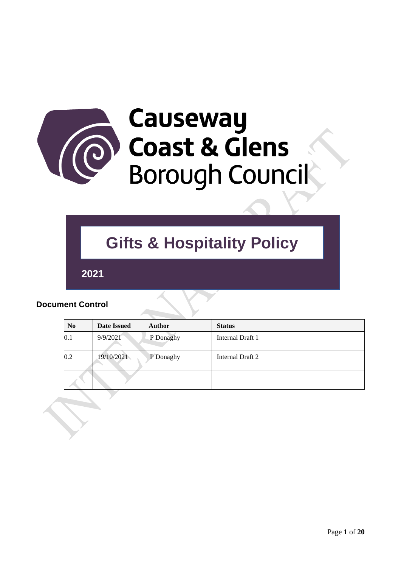

# Causeway Coast & Glens<br>Borough Council

# **Gifts & Hospitality Policy**

**2021**

#### **Document Control**

| N <sub>0</sub> | <b>Date Issued</b> | <b>Author</b> | <b>Status</b>    |
|----------------|--------------------|---------------|------------------|
| $0.1\,$        | 9/9/2021           | P Donaghy     | Internal Draft 1 |
| 0.2            | 19/10/2021         | P Donaghy     | Internal Draft 2 |
|                |                    |               |                  |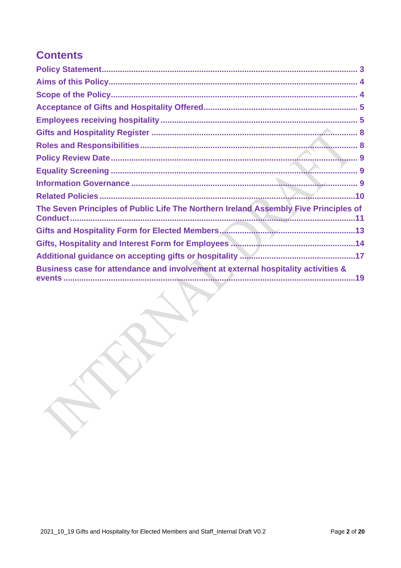# **Contents**

| The Seven Principles of Public Life The Northern Ireland Assembly Five Principles of |  |
|--------------------------------------------------------------------------------------|--|
|                                                                                      |  |
|                                                                                      |  |
|                                                                                      |  |
| Business case for attendance and involvement at external hospitality activities &    |  |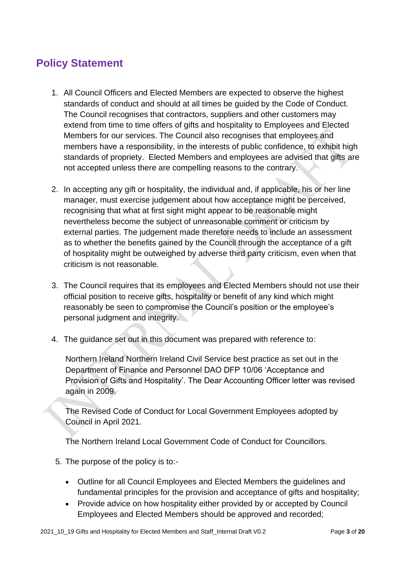#### **Policy Statement**

- 1. All Council Officers and Elected Members are expected to observe the highest standards of conduct and should at all times be guided by the Code of Conduct. The Council recognises that contractors, suppliers and other customers may extend from time to time offers of gifts and hospitality to Employees and Elected Members for our services. The Council also recognises that employees and members have a responsibility, in the interests of public confidence, to exhibit high standards of propriety. Elected Members and employees are advised that gifts are not accepted unless there are compelling reasons to the contrary.
- 2. In accepting any gift or hospitality, the individual and, if applicable, his or her line manager, must exercise judgement about how acceptance might be perceived, recognising that what at first sight might appear to be reasonable might nevertheless become the subject of unreasonable comment or criticism by external parties. The judgement made therefore needs to include an assessment as to whether the benefits gained by the Council through the acceptance of a gift of hospitality might be outweighed by adverse third party criticism, even when that criticism is not reasonable.
- 3. The Council requires that its employees and Elected Members should not use their official position to receive gifts, hospitality or benefit of any kind which might reasonably be seen to compromise the Council's position or the employee's personal judgment and integrity.
- 4. The guidance set out in this document was prepared with reference to:

Northern Ireland Northern Ireland Civil Service best practice as set out in the Department of Finance and Personnel DAO DFP 10/06 'Acceptance and Provision of Gifts and Hospitality'. The Dear Accounting Officer letter was revised again in 2009.

The Revised Code of Conduct for Local Government Employees adopted by Council in April 2021.

The Northern Ireland Local Government Code of Conduct for Councillors.

- 5. The purpose of the policy is to:-
	- Outline for all Council Employees and Elected Members the guidelines and fundamental principles for the provision and acceptance of gifts and hospitality;
	- Provide advice on how hospitality either provided by or accepted by Council Employees and Elected Members should be approved and recorded;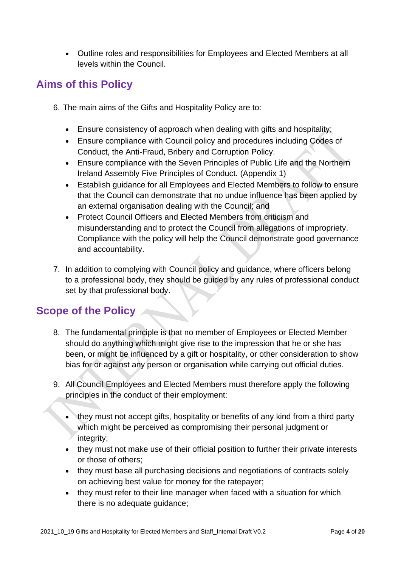• Outline roles and responsibilities for Employees and Elected Members at all levels within the Council.

#### **Aims of this Policy**

- 6. The main aims of the Gifts and Hospitality Policy are to:
	- Ensure consistency of approach when dealing with gifts and hospitality;
	- Ensure compliance with Council policy and procedures including Codes of Conduct, the Anti-Fraud, Bribery and Corruption Policy.
	- Ensure compliance with the Seven Principles of Public Life and the Northern Ireland Assembly Five Principles of Conduct. (Appendix 1)
	- Establish guidance for all Employees and Elected Members to follow to ensure that the Council can demonstrate that no undue influence has been applied by an external organisation dealing with the Council; and
	- Protect Council Officers and Elected Members from criticism and misunderstanding and to protect the Council from allegations of impropriety. Compliance with the policy will help the Council demonstrate good governance and accountability.
- 7. In addition to complying with Council policy and guidance, where officers belong to a professional body, they should be guided by any rules of professional conduct set by that professional body.

## **Scope of the Policy**

- 8. The fundamental principle is that no member of Employees or Elected Member should do anything which might give rise to the impression that he or she has been, or might be influenced by a gift or hospitality, or other consideration to show bias for or against any person or organisation while carrying out official duties.
- 9. All Council Employees and Elected Members must therefore apply the following principles in the conduct of their employment:
	- they must not accept gifts, hospitality or benefits of any kind from a third party which might be perceived as compromising their personal judgment or integrity;
	- they must not make use of their official position to further their private interests or those of others;
	- they must base all purchasing decisions and negotiations of contracts solely on achieving best value for money for the ratepayer;
	- they must refer to their line manager when faced with a situation for which there is no adequate guidance;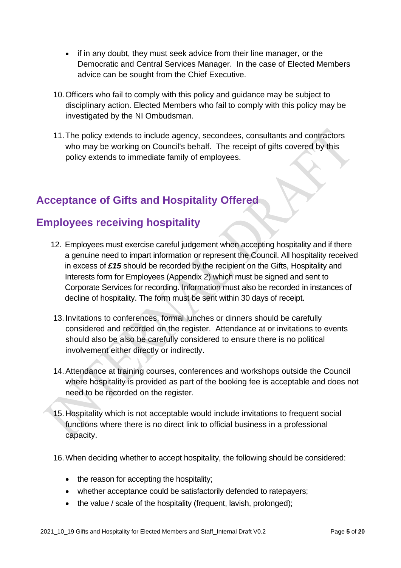- if in any doubt, they must seek advice from their line manager, or the Democratic and Central Services Manager. In the case of Elected Members advice can be sought from the Chief Executive.
- 10.Officers who fail to comply with this policy and guidance may be subject to disciplinary action. Elected Members who fail to comply with this policy may be investigated by the NI Ombudsman.
- 11.The policy extends to include agency, secondees, consultants and contractors who may be working on Council's behalf. The receipt of gifts covered by this policy extends to immediate family of employees.

# **Acceptance of Gifts and Hospitality Offered**

#### **Employees receiving hospitality**

- 12. Employees must exercise careful judgement when accepting hospitality and if there a genuine need to impart information or represent the Council. All hospitality received in excess of *£15* should be recorded by the recipient on the Gifts, Hospitality and Interests form for Employees (Appendix 2) which must be signed and sent to Corporate Services for recording. Information must also be recorded in instances of decline of hospitality. The form must be sent within 30 days of receipt.
- 13. Invitations to conferences, formal lunches or dinners should be carefully considered and recorded on the register. Attendance at or invitations to events should also be also be carefully considered to ensure there is no political involvement either directly or indirectly.
- 14.Attendance at training courses, conferences and workshops outside the Council where hospitality is provided as part of the booking fee is acceptable and does not need to be recorded on the register.
- 15.Hospitality which is not acceptable would include invitations to frequent social functions where there is no direct link to official business in a professional capacity.
- 16.When deciding whether to accept hospitality, the following should be considered:
	- the reason for accepting the hospitality;
	- whether acceptance could be satisfactorily defended to ratepayers;
	- the value / scale of the hospitality (frequent, lavish, prolonged);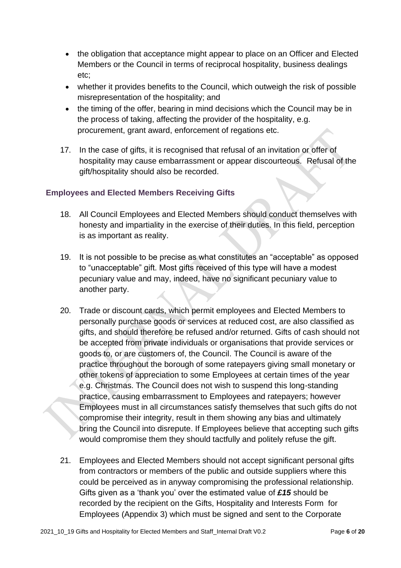- the obligation that acceptance might appear to place on an Officer and Elected Members or the Council in terms of reciprocal hospitality, business dealings etc;
- whether it provides benefits to the Council, which outweigh the risk of possible misrepresentation of the hospitality; and
- the timing of the offer, bearing in mind decisions which the Council may be in the process of taking, affecting the provider of the hospitality, e.g. procurement, grant award, enforcement of regations etc.
- 17. In the case of gifts, it is recognised that refusal of an invitation or offer of hospitality may cause embarrassment or appear discourteous. Refusal of the gift/hospitality should also be recorded.

#### **Employees and Elected Members Receiving Gifts**

- 18. All Council Employees and Elected Members should conduct themselves with honesty and impartiality in the exercise of their duties. In this field, perception is as important as reality.
- 19. It is not possible to be precise as what constitutes an "acceptable" as opposed to "unacceptable" gift. Most gifts received of this type will have a modest pecuniary value and may, indeed, have no significant pecuniary value to another party.
- 20. Trade or discount cards, which permit employees and Elected Members to personally purchase goods or services at reduced cost, are also classified as gifts, and should therefore be refused and/or returned. Gifts of cash should not be accepted from private individuals or organisations that provide services or goods to, or are customers of, the Council. The Council is aware of the practice throughout the borough of some ratepayers giving small monetary or other tokens of appreciation to some Employees at certain times of the year e.g. Christmas. The Council does not wish to suspend this long-standing practice, causing embarrassment to Employees and ratepayers; however Employees must in all circumstances satisfy themselves that such gifts do not compromise their integrity, result in them showing any bias and ultimately bring the Council into disrepute. If Employees believe that accepting such gifts would compromise them they should tactfully and politely refuse the gift.
- 21. Employees and Elected Members should not accept significant personal gifts from contractors or members of the public and outside suppliers where this could be perceived as in anyway compromising the professional relationship. Gifts given as a 'thank you' over the estimated value of *£15* should be recorded by the recipient on the Gifts, Hospitality and Interests Form for Employees (Appendix 3) which must be signed and sent to the Corporate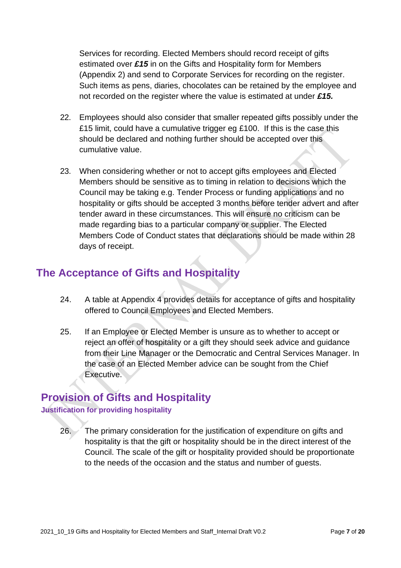Services for recording. Elected Members should record receipt of gifts estimated over *£15* in on the Gifts and Hospitality form for Members (Appendix 2) and send to Corporate Services for recording on the register. Such items as pens, diaries, chocolates can be retained by the employee and not recorded on the register where the value is estimated at under *£15.*

- 22. Employees should also consider that smaller repeated gifts possibly under the £15 limit, could have a cumulative trigger eg £100. If this is the case this should be declared and nothing further should be accepted over this cumulative value.
- 23. When considering whether or not to accept gifts employees and Elected Members should be sensitive as to timing in relation to decisions which the Council may be taking e.g. Tender Process or funding applications and no hospitality or gifts should be accepted 3 months before tender advert and after tender award in these circumstances. This will ensure no criticism can be made regarding bias to a particular company or supplier. The Elected Members Code of Conduct states that declarations should be made within 28 days of receipt.

#### **The Acceptance of Gifts and Hospitality**

- 24. A table at Appendix 4 provides details for acceptance of gifts and hospitality offered to Council Employees and Elected Members.
- 25. If an Employee or Elected Member is unsure as to whether to accept or reject an offer of hospitality or a gift they should seek advice and guidance from their Line Manager or the Democratic and Central Services Manager. In the case of an Elected Member advice can be sought from the Chief Executive.

#### **Provision of Gifts and Hospitality**

#### **Justification for providing hospitality**

26. The primary consideration for the justification of expenditure on gifts and hospitality is that the gift or hospitality should be in the direct interest of the Council. The scale of the gift or hospitality provided should be proportionate to the needs of the occasion and the status and number of guests.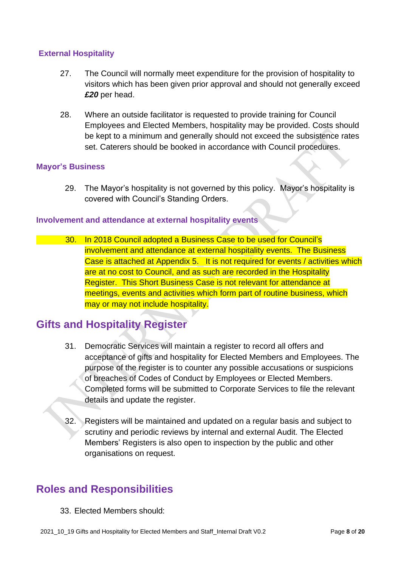#### **External Hospitality**

- 27. The Council will normally meet expenditure for the provision of hospitality to visitors which has been given prior approval and should not generally exceed *£20* per head.
- 28. Where an outside facilitator is requested to provide training for Council Employees and Elected Members, hospitality may be provided. Costs should be kept to a minimum and generally should not exceed the subsistence rates set. Caterers should be booked in accordance with Council procedures.

#### **Mayor's Business**

29. The Mayor's hospitality is not governed by this policy. Mayor's hospitality is covered with Council's Standing Orders.

#### **Involvement and attendance at external hospitality events**

30. In 2018 Council adopted a Business Case to be used for Council's involvement and attendance at external hospitality events. The Business Case is attached at Appendix 5. It is not required for events / activities which are at no cost to Council, and as such are recorded in the Hospitality Register. This Short Business Case is not relevant for attendance at meetings, events and activities which form part of routine business, which may or may not include hospitality.

#### **Gifts and Hospitality Register**

- 31. Democratic Services will maintain a register to record all offers and acceptance of gifts and hospitality for Elected Members and Employees. The purpose of the register is to counter any possible accusations or suspicions of breaches of Codes of Conduct by Employees or Elected Members. Completed forms will be submitted to Corporate Services to file the relevant details and update the register.
- 32. Registers will be maintained and updated on a regular basis and subject to scrutiny and periodic reviews by internal and external Audit. The Elected Members' Registers is also open to inspection by the public and other organisations on request.

#### **Roles and Responsibilities**

33. Elected Members should: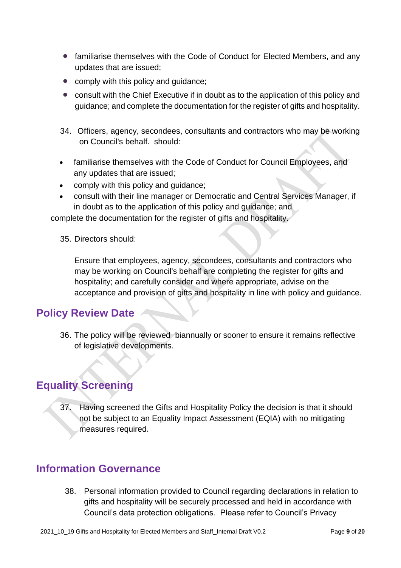- familiarise themselves with the Code of Conduct for Elected Members, and any updates that are issued;
- comply with this policy and quidance;
- consult with the Chief Executive if in doubt as to the application of this policy and guidance; and complete the documentation for the register of gifts and hospitality.
- 34. Officers, agency, secondees, consultants and contractors who may be working on Council's behalf. should:
- familiarise themselves with the Code of Conduct for Council Employees, and any updates that are issued;
- comply with this policy and guidance;
- consult with their line manager or Democratic and Central Services Manager, if in doubt as to the application of this policy and guidance; and

complete the documentation for the register of gifts and hospitality.

35. Directors should:

Ensure that employees, agency, secondees, consultants and contractors who may be working on Council's behalf are completing the register for gifts and hospitality; and carefully consider and where appropriate, advise on the acceptance and provision of gifts and hospitality in line with policy and guidance.

#### **Policy Review Date**

36. The policy will be reviewed biannually or sooner to ensure it remains reflective of legislative developments.

## **Equality Screening**

37. Having screened the Gifts and Hospitality Policy the decision is that it should not be subject to an Equality Impact Assessment (EQIA) with no mitigating measures required.

#### **Information Governance**

38. Personal information provided to Council regarding declarations in relation to gifts and hospitality will be securely processed and held in accordance with Council's data protection obligations. Please refer to Council's Privacy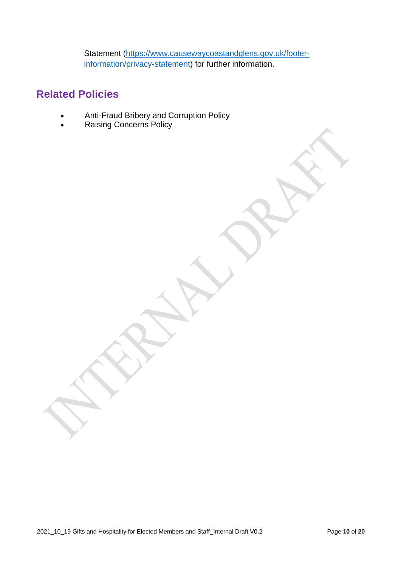Statement [\(https://www.causewaycoastandglens.gov.uk/footer](https://www.causewaycoastandglens.gov.uk/footer-information/privacy-statement)[information/privacy-statement\)](https://www.causewaycoastandglens.gov.uk/footer-information/privacy-statement) for further information.

#### **Related Policies**

- Anti-Fraud Bribery and Corruption Policy
- Raising Concerns Policy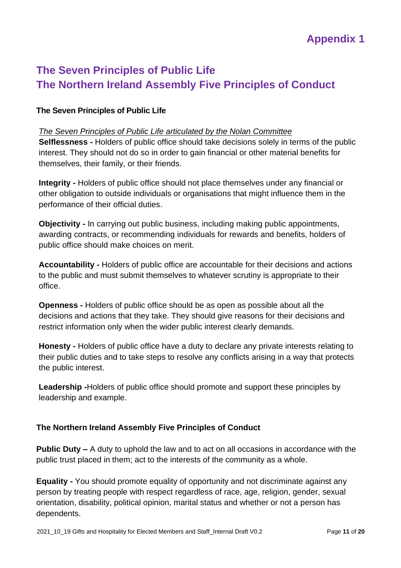# **The Seven Principles of Public Life The Northern Ireland Assembly Five Principles of Conduct**

#### **The Seven Principles of Public Life**

#### *The Seven Principles of Public Life articulated by the Nolan Committee*

**Selflessness -** Holders of public office should take decisions solely in terms of the public interest. They should not do so in order to gain financial or other material benefits for themselves, their family, or their friends.

**Integrity -** Holders of public office should not place themselves under any financial or other obligation to outside individuals or organisations that might influence them in the performance of their official duties.

**Objectivity -** In carrying out public business, including making public appointments, awarding contracts, or recommending individuals for rewards and benefits, holders of public office should make choices on merit.

**Accountability -** Holders of public office are accountable for their decisions and actions to the public and must submit themselves to whatever scrutiny is appropriate to their office.

**Openness -** Holders of public office should be as open as possible about all the decisions and actions that they take. They should give reasons for their decisions and restrict information only when the wider public interest clearly demands.

**Honesty -** Holders of public office have a duty to declare any private interests relating to their public duties and to take steps to resolve any conflicts arising in a way that protects the public interest.

**Leadership -**Holders of public office should promote and support these principles by leadership and example.

#### **The Northern Ireland Assembly Five Principles of Conduct**

**Public Duty –** A duty to uphold the law and to act on all occasions in accordance with the public trust placed in them; act to the interests of the community as a whole.

**Equality -** You should promote equality of opportunity and not discriminate against any person by treating people with respect regardless of race, age, religion, gender, sexual orientation, disability, political opinion, marital status and whether or not a person has dependents.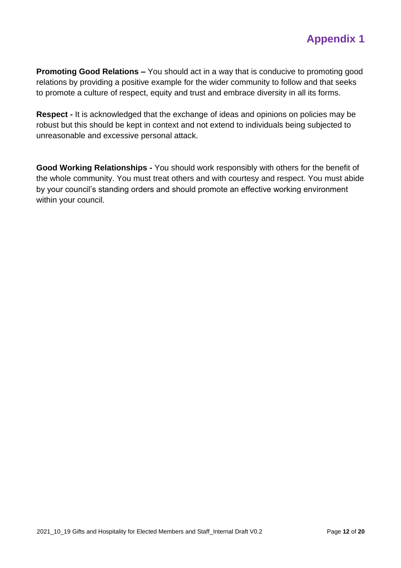**Promoting Good Relations –** You should act in a way that is conducive to promoting good relations by providing a positive example for the wider community to follow and that seeks to promote a culture of respect, equity and trust and embrace diversity in all its forms.

**Respect -** It is acknowledged that the exchange of ideas and opinions on policies may be robust but this should be kept in context and not extend to individuals being subjected to unreasonable and excessive personal attack.

**Good Working Relationships -** You should work responsibly with others for the benefit of the whole community. You must treat others and with courtesy and respect. You must abide by your council's standing orders and should promote an effective working environment within your council.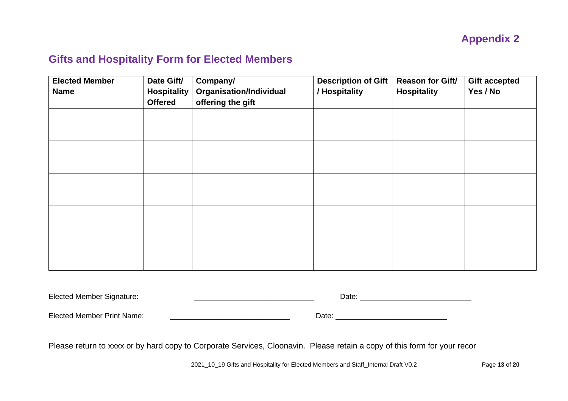## **Gifts and Hospitality Form for Elected Members**

| <b>Elected Member</b><br><b>Name</b> | Date Gift/<br><b>Hospitality</b><br><b>Offered</b> | Company/<br><b>Organisation/Individual</b><br>offering the gift | <b>Description of Gift</b><br>/ Hospitality | <b>Reason for Gift/</b><br><b>Hospitality</b> | <b>Gift accepted</b><br>Yes / No |
|--------------------------------------|----------------------------------------------------|-----------------------------------------------------------------|---------------------------------------------|-----------------------------------------------|----------------------------------|
|                                      |                                                    |                                                                 |                                             |                                               |                                  |
|                                      |                                                    |                                                                 |                                             |                                               |                                  |
|                                      |                                                    |                                                                 |                                             |                                               |                                  |
|                                      |                                                    |                                                                 |                                             |                                               |                                  |
|                                      |                                                    |                                                                 |                                             |                                               |                                  |

| <b>Elected Member Signature:</b>  | Date: |
|-----------------------------------|-------|
|                                   |       |
| <b>Elected Member Print Name:</b> | Date: |

Please return to xxxx or by hard copy to Corporate Services, Cloonavin. Please retain a copy of this form for your recor

2021\_10\_19 Gifts and Hospitality for Elected Members and Staff\_Internal Draft V0.2 Page **13** of **20**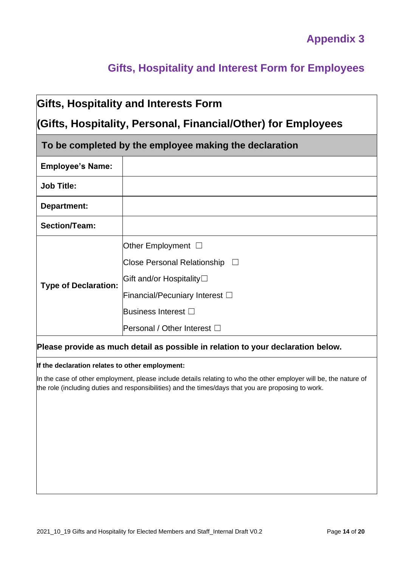# **Gifts, Hospitality and Interest Form for Employees**

|                                                                                                                                                                                                                                      | <b>Gifts, Hospitality and Interests Form</b>                                                                                                                                                                             |  |  |  |
|--------------------------------------------------------------------------------------------------------------------------------------------------------------------------------------------------------------------------------------|--------------------------------------------------------------------------------------------------------------------------------------------------------------------------------------------------------------------------|--|--|--|
| (Gifts, Hospitality, Personal, Financial/Other) for Employees                                                                                                                                                                        |                                                                                                                                                                                                                          |  |  |  |
| To be completed by the employee making the declaration                                                                                                                                                                               |                                                                                                                                                                                                                          |  |  |  |
| <b>Employee's Name:</b>                                                                                                                                                                                                              |                                                                                                                                                                                                                          |  |  |  |
| <b>Job Title:</b>                                                                                                                                                                                                                    |                                                                                                                                                                                                                          |  |  |  |
| Department:                                                                                                                                                                                                                          |                                                                                                                                                                                                                          |  |  |  |
| <b>Section/Team:</b>                                                                                                                                                                                                                 |                                                                                                                                                                                                                          |  |  |  |
| Other Employment $\Box$<br>Close Personal Relationship $\square$<br>Gift and/or Hospitality□<br><b>Type of Declaration:</b><br>Financial/Pecuniary Interest $\Box$<br><b>Business Interest</b> □<br>Personal / Other Interest $\Box$ |                                                                                                                                                                                                                          |  |  |  |
|                                                                                                                                                                                                                                      | Please provide as much detail as possible in relation to your declaration below.                                                                                                                                         |  |  |  |
| If the declaration relates to other employment:                                                                                                                                                                                      | In the case of other employment, please include details relating to who the other employer will be, the nature of<br>the role (including duties and responsibilities) and the times/days that you are proposing to work. |  |  |  |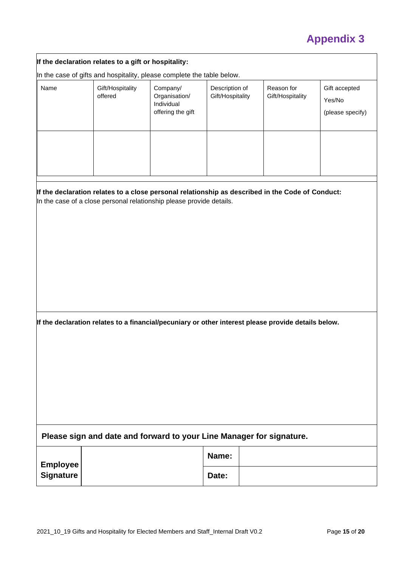| If the declaration relates to a gift or hospitality:                                                |                                                                                                                                                                          |                                                              |                                    |  |                                |                                             |  |
|-----------------------------------------------------------------------------------------------------|--------------------------------------------------------------------------------------------------------------------------------------------------------------------------|--------------------------------------------------------------|------------------------------------|--|--------------------------------|---------------------------------------------|--|
| In the case of gifts and hospitality, please complete the table below.                              |                                                                                                                                                                          |                                                              |                                    |  |                                |                                             |  |
| Name                                                                                                | Gift/Hospitality<br>offered                                                                                                                                              | Company/<br>Organisation/<br>Individual<br>offering the gift | Description of<br>Gift/Hospitality |  | Reason for<br>Gift/Hospitality | Gift accepted<br>Yes/No<br>(please specify) |  |
|                                                                                                     |                                                                                                                                                                          |                                                              |                                    |  |                                |                                             |  |
|                                                                                                     | If the declaration relates to a close personal relationship as described in the Code of Conduct:<br>In the case of a close personal relationship please provide details. |                                                              |                                    |  |                                |                                             |  |
| If the declaration relates to a financial/pecuniary or other interest please provide details below. |                                                                                                                                                                          |                                                              |                                    |  |                                |                                             |  |
| Please sign and date and forward to your Line Manager for signature.                                |                                                                                                                                                                          |                                                              |                                    |  |                                |                                             |  |
| <b>Employee</b>                                                                                     |                                                                                                                                                                          |                                                              | Name:                              |  |                                |                                             |  |
| <b>Signature</b>                                                                                    |                                                                                                                                                                          |                                                              | Date:                              |  |                                |                                             |  |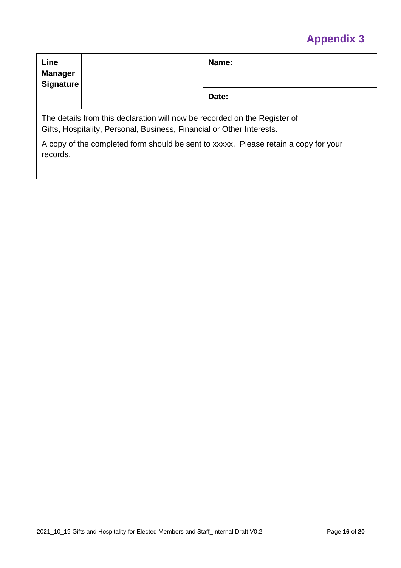| Line<br><b>Manager</b><br><b>Signature</b>                                                                                                         |  |       |  |  |
|----------------------------------------------------------------------------------------------------------------------------------------------------|--|-------|--|--|
|                                                                                                                                                    |  | Date: |  |  |
| The details from this declaration will now be recorded on the Register of<br>Gifts, Hospitality, Personal, Business, Financial or Other Interests. |  |       |  |  |
| A copy of the completed form should be sent to xxxxx. Please retain a copy for your<br>records.                                                    |  |       |  |  |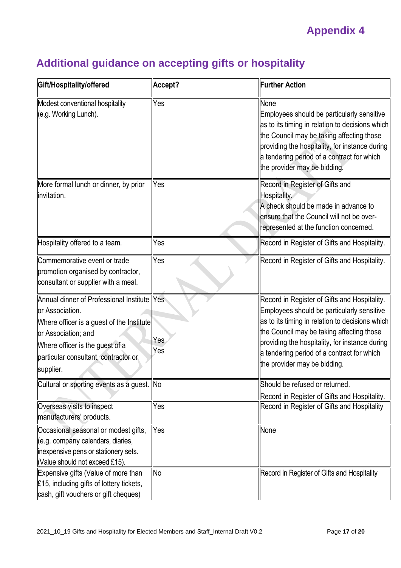# **Additional guidance on accepting gifts or hospitality**

| Gift/Hospitality/offered                                                                                                                                                                                                   | Accept?    | <b>Further Action</b>                                                                                                                                                                                                                                                                                                      |
|----------------------------------------------------------------------------------------------------------------------------------------------------------------------------------------------------------------------------|------------|----------------------------------------------------------------------------------------------------------------------------------------------------------------------------------------------------------------------------------------------------------------------------------------------------------------------------|
| Modest conventional hospitality<br>(e.g. Working Lunch).                                                                                                                                                                   | Yes        | None<br>Employees should be particularly sensitive<br>as to its timing in relation to decisions which<br>the Council may be taking affecting those<br>providing the hospitality, for instance during<br>a tendering period of a contract for which<br>the provider may be bidding.                                         |
| More formal lunch or dinner, by prior<br>invitation.                                                                                                                                                                       | Yes        | Record in Register of Gifts and<br>Hospitality.<br>A check should be made in advance to<br>ensure that the Council will not be over-<br>represented at the function concerned.                                                                                                                                             |
| Hospitality offered to a team.                                                                                                                                                                                             | Yes        | Record in Register of Gifts and Hospitality.                                                                                                                                                                                                                                                                               |
| Commemorative event or trade<br>promotion organised by contractor,<br>consultant or supplier with a meal.                                                                                                                  | Yes        | Record in Register of Gifts and Hospitality.                                                                                                                                                                                                                                                                               |
| Annual dinner of Professional Institute Yes<br>or Association.<br>Where officer is a guest of the Institute<br>or Association; and<br>Where officer is the guest of a<br>particular consultant, contractor or<br>supplier. | Yes<br>Yes | Record in Register of Gifts and Hospitality.<br>Employees should be particularly sensitive<br>as to its timing in relation to decisions which<br>the Council may be taking affecting those<br>providing the hospitality, for instance during<br>a tendering period of a contract for which<br>the provider may be bidding. |
| Cultural or sporting events as a guest. No<br>Overseas visits to inspect                                                                                                                                                   | Yes        | Should be refused or returned.<br>Record in Register of Gifts and Hospitality.<br>Record in Register of Gifts and Hospitality                                                                                                                                                                                              |
| manufacturers' products.                                                                                                                                                                                                   |            |                                                                                                                                                                                                                                                                                                                            |
| Occasional seasonal or modest gifts,<br>(e.g. company calendars, diaries,<br>inexpensive pens or stationery sets.<br>(Value should not exceed £15).                                                                        | Yes        | None                                                                                                                                                                                                                                                                                                                       |
| Expensive gifts (Value of more than<br>£15, including gifts of lottery tickets,<br>cash, gift vouchers or gift cheques)                                                                                                    | No         | Record in Register of Gifts and Hospitality                                                                                                                                                                                                                                                                                |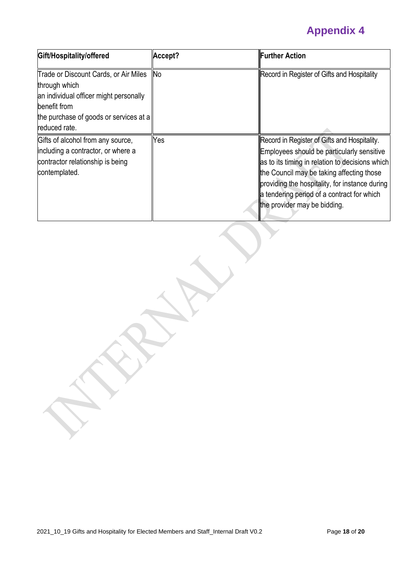| Gift/Hospitality/offered                                                                                                                                                    | Accept?    | <b>Further Action</b>                                                                                                                                                                                                                                                                                                             |
|-----------------------------------------------------------------------------------------------------------------------------------------------------------------------------|------------|-----------------------------------------------------------------------------------------------------------------------------------------------------------------------------------------------------------------------------------------------------------------------------------------------------------------------------------|
| Trade or Discount Cards, or Air Miles<br>through which<br>an individual officer might personally<br>benefit from<br>the purchase of goods or services at a<br>reduced rate. | <b>INo</b> | Record in Register of Gifts and Hospitality                                                                                                                                                                                                                                                                                       |
| Gifts of alcohol from any source,<br>including a contractor, or where a<br>contractor relationship is being<br>contemplated.                                                | Yes        | Record in Register of Gifts and Hospitality.<br><b>Employees should be particularly sensitive</b><br>as to its timing in relation to decisions which<br>the Council may be taking affecting those<br>providing the hospitality, for instance during<br>a tendering period of a contract for which<br>the provider may be bidding. |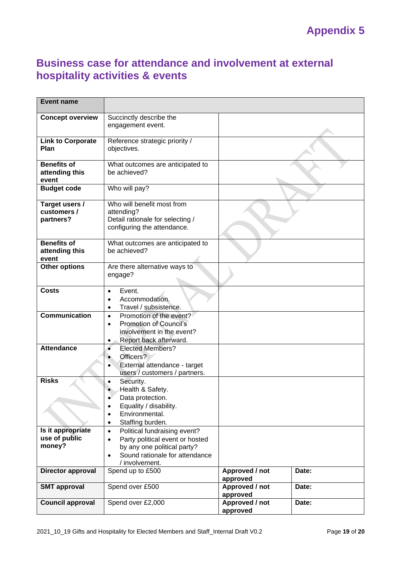# **Business case for attendance and involvement at external hospitality activities & events**

| <b>Event name</b>                             |                                                                                                                                                                                           |                            |       |
|-----------------------------------------------|-------------------------------------------------------------------------------------------------------------------------------------------------------------------------------------------|----------------------------|-------|
| <b>Concept overview</b>                       | Succinctly describe the<br>engagement event.                                                                                                                                              |                            |       |
| <b>Link to Corporate</b><br>Plan              | Reference strategic priority /<br>objectives.                                                                                                                                             |                            |       |
| <b>Benefits of</b><br>attending this<br>event | What outcomes are anticipated to<br>be achieved?                                                                                                                                          |                            |       |
| <b>Budget code</b>                            | Who will pay?                                                                                                                                                                             |                            |       |
| Target users /<br>customers /<br>partners?    | Who will benefit most from<br>attending?<br>Detail rationale for selecting /<br>configuring the attendance.                                                                               |                            |       |
| <b>Benefits of</b><br>attending this<br>event | What outcomes are anticipated to<br>be achieved?                                                                                                                                          |                            |       |
| <b>Other options</b>                          | Are there alternative ways to<br>engage?                                                                                                                                                  |                            |       |
| <b>Costs</b>                                  | Event.<br>$\bullet$<br>Accommodation.<br>$\bullet$<br>Travel / subsistence.<br>$\bullet$                                                                                                  |                            |       |
| <b>Communication</b>                          | Promotion of the event?<br>$\bullet$<br><b>Promotion of Council's</b><br>$\bullet$<br>involvement in the event?<br>Report back afterward.<br>$\bullet$                                    |                            |       |
| <b>Attendance</b>                             | <b>Elected Members?</b><br>$\bullet$<br>Officers?<br>External attendance - target<br>users / customers / partners.                                                                        |                            |       |
| <b>Risks</b>                                  | Security.<br>$\bullet$<br>Health & Safety.<br>Data protection.<br>Equality / disability.<br>$\bullet$<br>Environmental.<br>$\bullet$<br>Staffing burden.<br>٠                             |                            |       |
| Is it appropriate<br>use of public<br>money?  | Political fundraising event?<br>$\bullet$<br>Party political event or hosted<br>$\bullet$<br>by any one political party?<br>Sound rationale for attendance<br>$\bullet$<br>/ involvement. |                            |       |
| Director approval                             | Spend up to £500                                                                                                                                                                          | Approved / not<br>approved | Date: |
| <b>SMT approval</b>                           | Spend over £500                                                                                                                                                                           | Approved / not<br>approved | Date: |
| <b>Council approval</b>                       | Spend over £2,000                                                                                                                                                                         | Approved / not<br>approved | Date: |